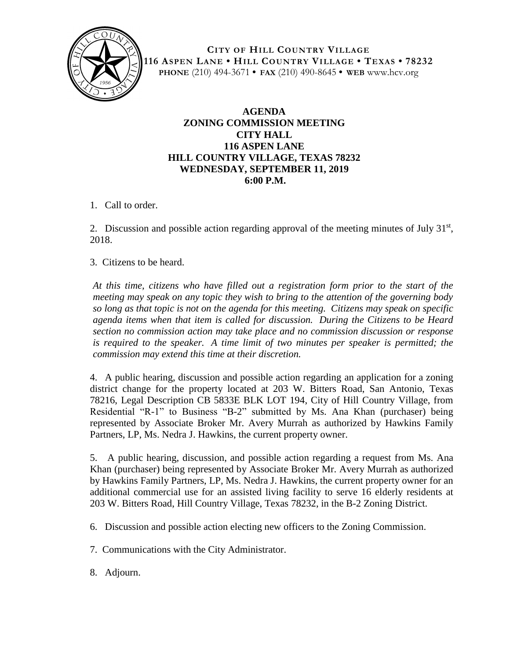

**CITY OF HILL COUNTRY VILLAGE 116 ASPEN LANE • HILL COUNTRY VILLAGE • TEXAS • 78232 PHONE** (210) 494-3671 **• FAX** (210) 490-8645 **• WEB** www.hcv.org

## **AGENDA ZONING COMMISSION MEETING CITY HALL 116 ASPEN LANE HILL COUNTRY VILLAGE, TEXAS 78232 WEDNESDAY, SEPTEMBER 11, 2019 6:00 P.M.**

1. Call to order.

2. Discussion and possible action regarding approval of the meeting minutes of July  $31<sup>st</sup>$ , 2018.

3. Citizens to be heard.

*At this time, citizens who have filled out a registration form prior to the start of the meeting may speak on any topic they wish to bring to the attention of the governing body so long as that topic is not on the agenda for this meeting. Citizens may speak on specific agenda items when that item is called for discussion. During the Citizens to be Heard section no commission action may take place and no commission discussion or response is required to the speaker. A time limit of two minutes per speaker is permitted; the commission may extend this time at their discretion.*

4. A public hearing, discussion and possible action regarding an application for a zoning district change for the property located at 203 W. Bitters Road, San Antonio, Texas 78216, Legal Description CB 5833E BLK LOT 194, City of Hill Country Village, from Residential "R-1" to Business "B-2" submitted by Ms. Ana Khan (purchaser) being represented by Associate Broker Mr. Avery Murrah as authorized by Hawkins Family Partners, LP, Ms. Nedra J. Hawkins, the current property owner.

5. A public hearing, discussion, and possible action regarding a request from Ms. Ana Khan (purchaser) being represented by Associate Broker Mr. Avery Murrah as authorized by Hawkins Family Partners, LP, Ms. Nedra J. Hawkins, the current property owner for an additional commercial use for an assisted living facility to serve 16 elderly residents at 203 W. Bitters Road, Hill Country Village, Texas 78232, in the B-2 Zoning District.

- 6. Discussion and possible action electing new officers to the Zoning Commission.
- 7. Communications with the City Administrator.
- 8. Adjourn.